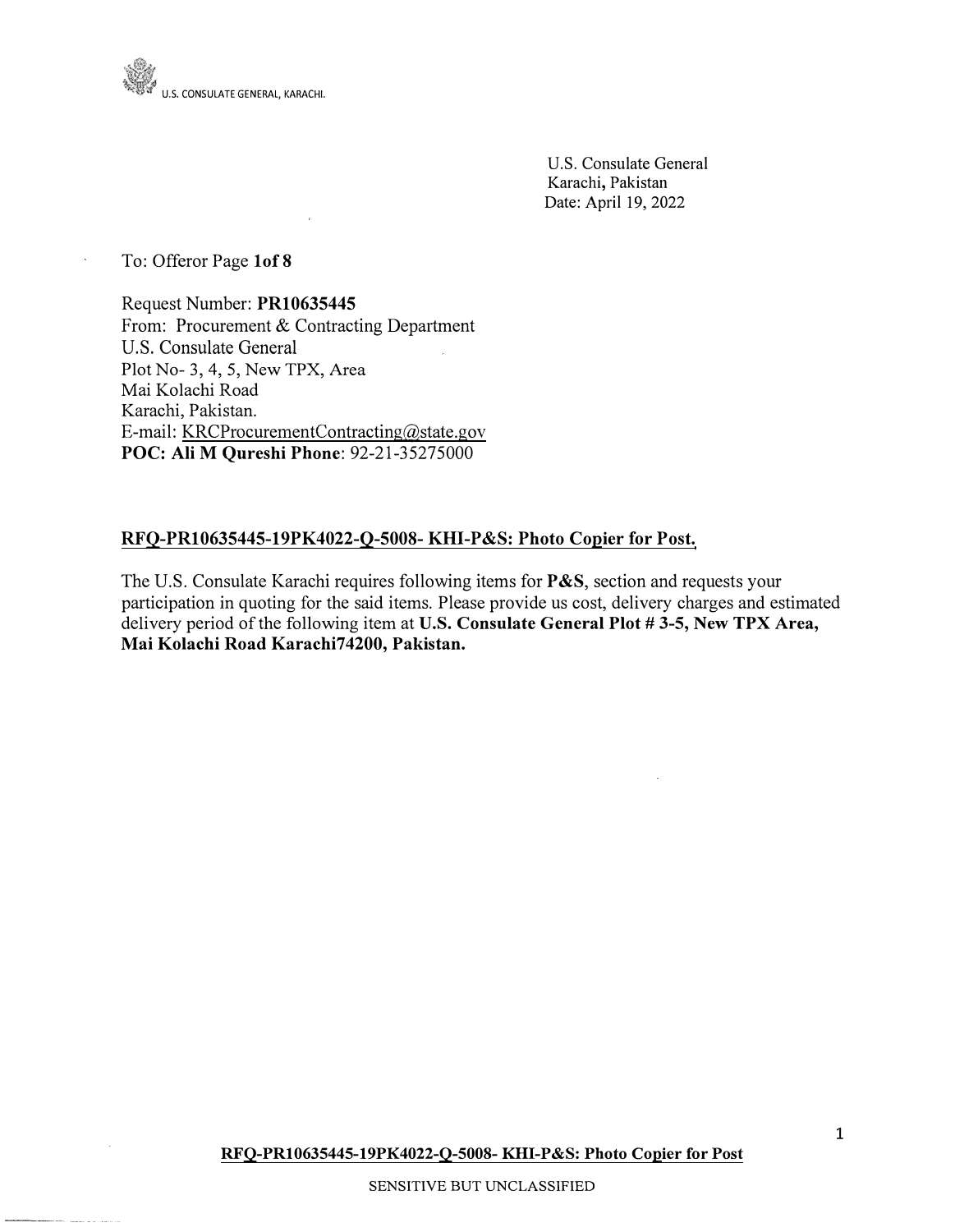

U.S. Consulate General Karachi, Pakistan Date: April 19, 2022

To: Offeror Page **lof 8** 

Request Number: **PR10635445**  From: Procurement & Contracting Department U.S. Consulate General Plot No- 3, 4, 5, New TPX, Area Mai Kolachi Road Karachi, Pakistan. E-mail: KRCProcurementContracting@state.gov **POC: Ali M Qureshi Phone:** 92-21-35275000

### **RFQ-PR10635445-19PK4022-O-5008- KHI-P&S: Photo Copier for Post.**

The U.S. Consulate Karachi requires following items for **P&S,** section and requests your participation in quoting for the said items. Please provide us cost, delivery charges and estimated delivery period of the following item at **U.S. Consulate General Plot #3-5, New TPX Area, Mai Kolachi Road Karachi74200, Pakistan.**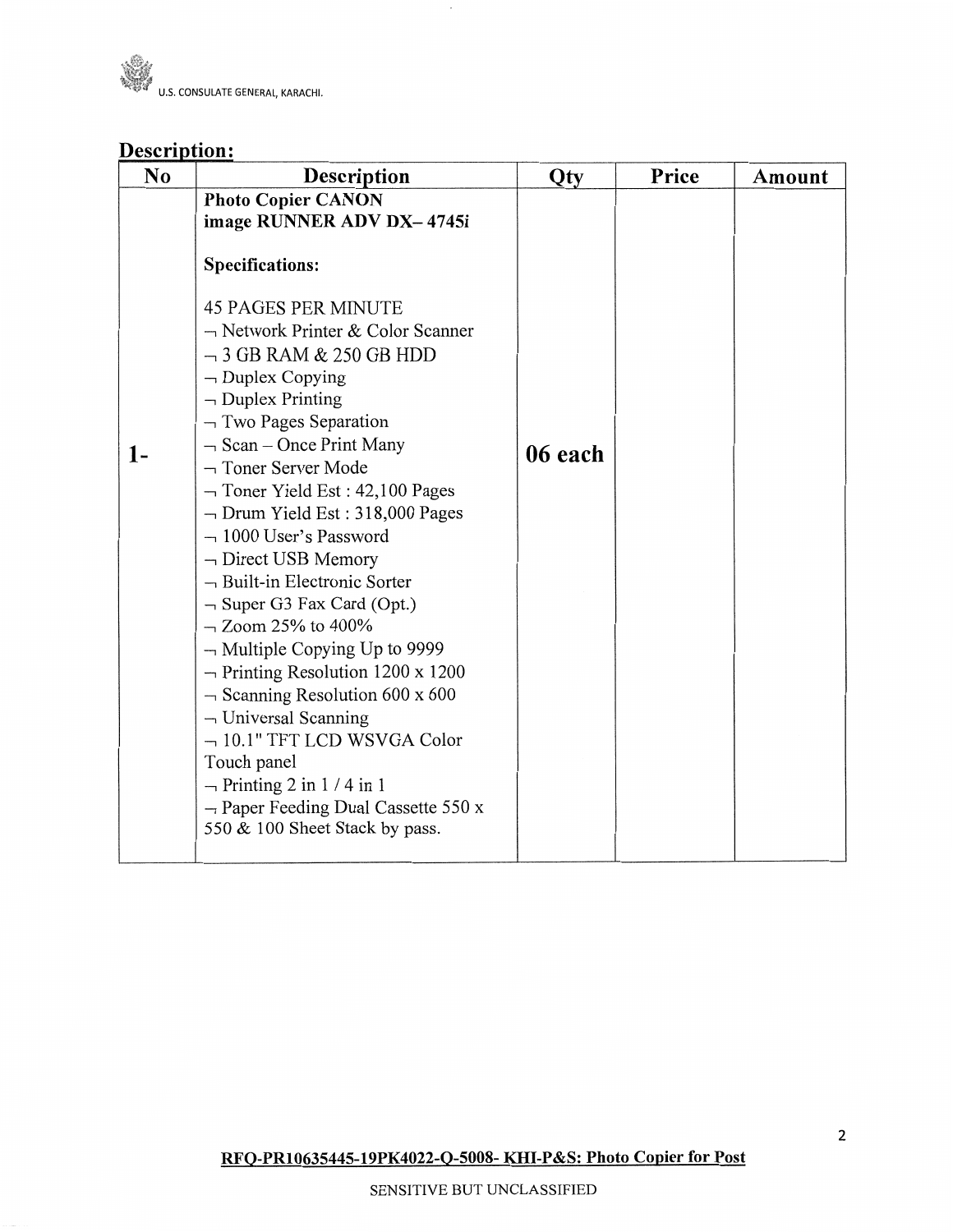

# Description:

| N <sub>o</sub> | Description                                                                                                                                                                                                                                                                                                                                                                                                                                                                                                                                                                                                                                                                                                                                                                                                                                                                                             | Qty     | Price | Amount |
|----------------|---------------------------------------------------------------------------------------------------------------------------------------------------------------------------------------------------------------------------------------------------------------------------------------------------------------------------------------------------------------------------------------------------------------------------------------------------------------------------------------------------------------------------------------------------------------------------------------------------------------------------------------------------------------------------------------------------------------------------------------------------------------------------------------------------------------------------------------------------------------------------------------------------------|---------|-------|--------|
| $1-$           | <b>Photo Copier CANON</b><br>image RUNNER ADV DX-4745i<br><b>Specifications:</b><br><b>45 PAGES PER MINUTE</b><br>$\neg$ Network Printer & Color Scanner<br>$-3$ GB RAM & 250 GB HDD<br>$\neg$ Duplex Copying<br>$\neg$ Duplex Printing<br>$\neg$ Two Pages Separation<br>$\neg$ Scan – Once Print Many<br>$\neg$ Toner Server Mode<br>$\neg$ Toner Yield Est: 42,100 Pages<br>$\neg$ Drum Yield Est : 318,000 Pages<br>$-1000$ User's Password<br>$\neg$ Direct USB Memory<br>- Built-in Electronic Sorter<br>$\neg$ Super G3 Fax Card (Opt.)<br>$-$ Zoom 25% to 400%<br>$\neg$ Multiple Copying Up to 9999<br>$\rightarrow$ Printing Resolution 1200 x 1200<br>$\sim$ Scanning Resolution 600 x 600<br>$\neg$ Universal Scanning<br>$-10.1"$ TFT LCD WSVGA Color<br>Touch panel<br>$\neg$ Printing 2 in 1/4 in 1<br>$\rightarrow$ Paper Feeding Dual Cassette 550 x<br>550 & 100 Sheet Stack by pass. | 06 each |       |        |

 $\epsilon$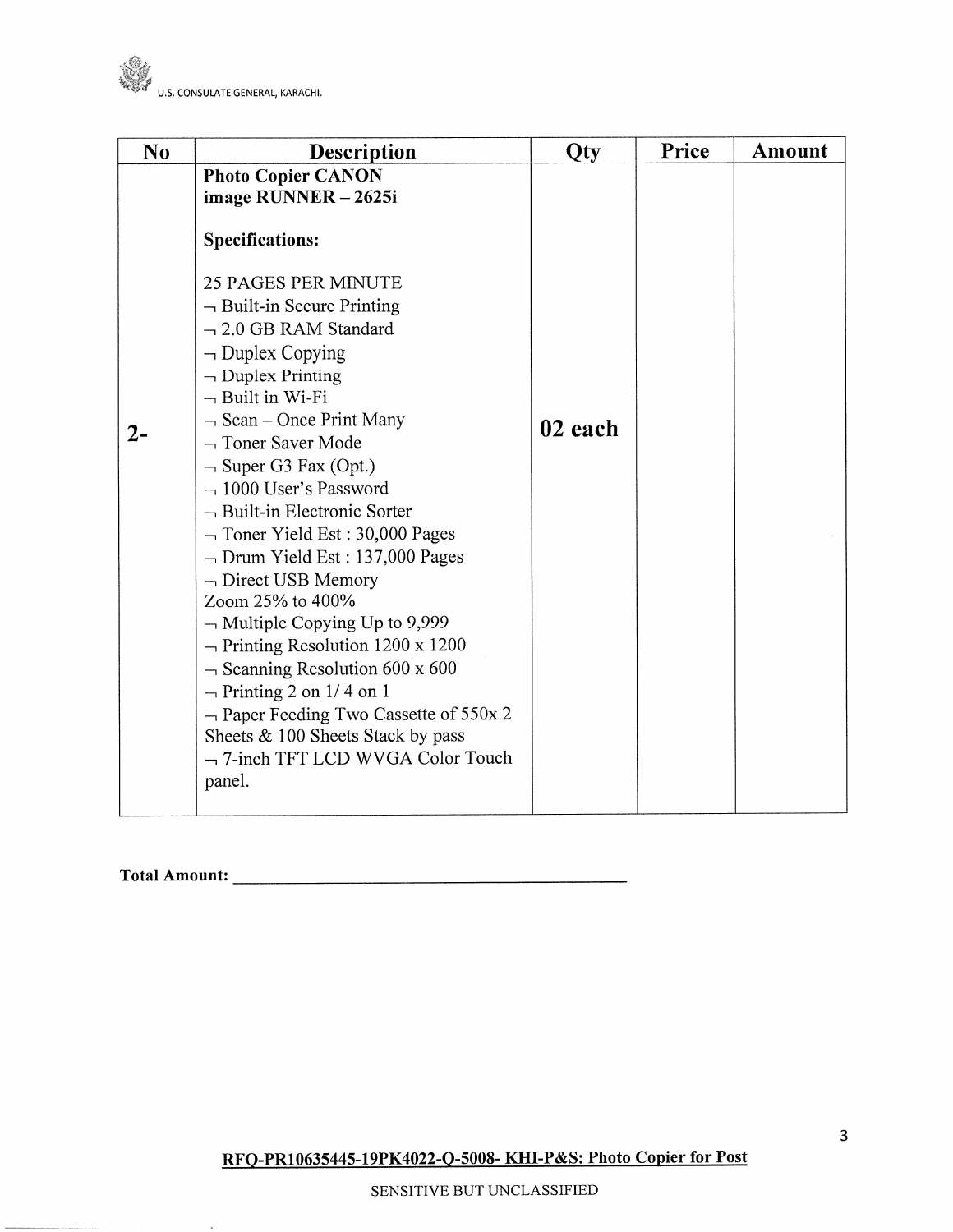

| N <sub>o</sub> |                                                                                                                                                                                                                                                                                                                                                                                                                                                                                                                                                                                                   | Qty     | Price | Amount |
|----------------|---------------------------------------------------------------------------------------------------------------------------------------------------------------------------------------------------------------------------------------------------------------------------------------------------------------------------------------------------------------------------------------------------------------------------------------------------------------------------------------------------------------------------------------------------------------------------------------------------|---------|-------|--------|
|                | Description<br><b>Photo Copier CANON</b><br>image RUNNER - 2625i<br><b>Specifications:</b><br><b>25 PAGES PER MINUTE</b><br>$\neg$ Built-in Secure Printing<br>$-2.0$ GB RAM Standard<br>$\neg$ Duplex Copying<br>$\neg$ Duplex Printing<br>$\neg$ Built in Wi-Fi                                                                                                                                                                                                                                                                                                                                 |         |       |        |
| $2-$           | $\neg$ Scan – Once Print Many<br>$\neg$ Toner Saver Mode<br>$\neg$ Super G3 Fax (Opt.)<br>$-1000$ User's Password<br>$\neg$ Built-in Electronic Sorter<br>$\neg$ Toner Yield Est: 30,000 Pages<br>$\neg$ Drum Yield Est : 137,000 Pages<br>$\neg$ Direct USB Memory<br>Zoom 25% to 400%<br>$\neg$ Multiple Copying Up to 9,999<br>$\rightarrow$ Printing Resolution 1200 x 1200<br>$\sim$ Scanning Resolution 600 x 600<br>$\rightarrow$ Printing 2 on 1/4 on 1<br>$\neg$ Paper Feeding Two Cassette of 550x 2<br>Sheets & 100 Sheets Stack by pass<br>-7-inch TFT LCD WVGA Color Touch<br>panel. | 02 each |       |        |

 $\ddot{\phantom{0}}$ 

RFQ-PR10635445-19PK4022-Q-5008- KHI-P&S: Photo Copier for Post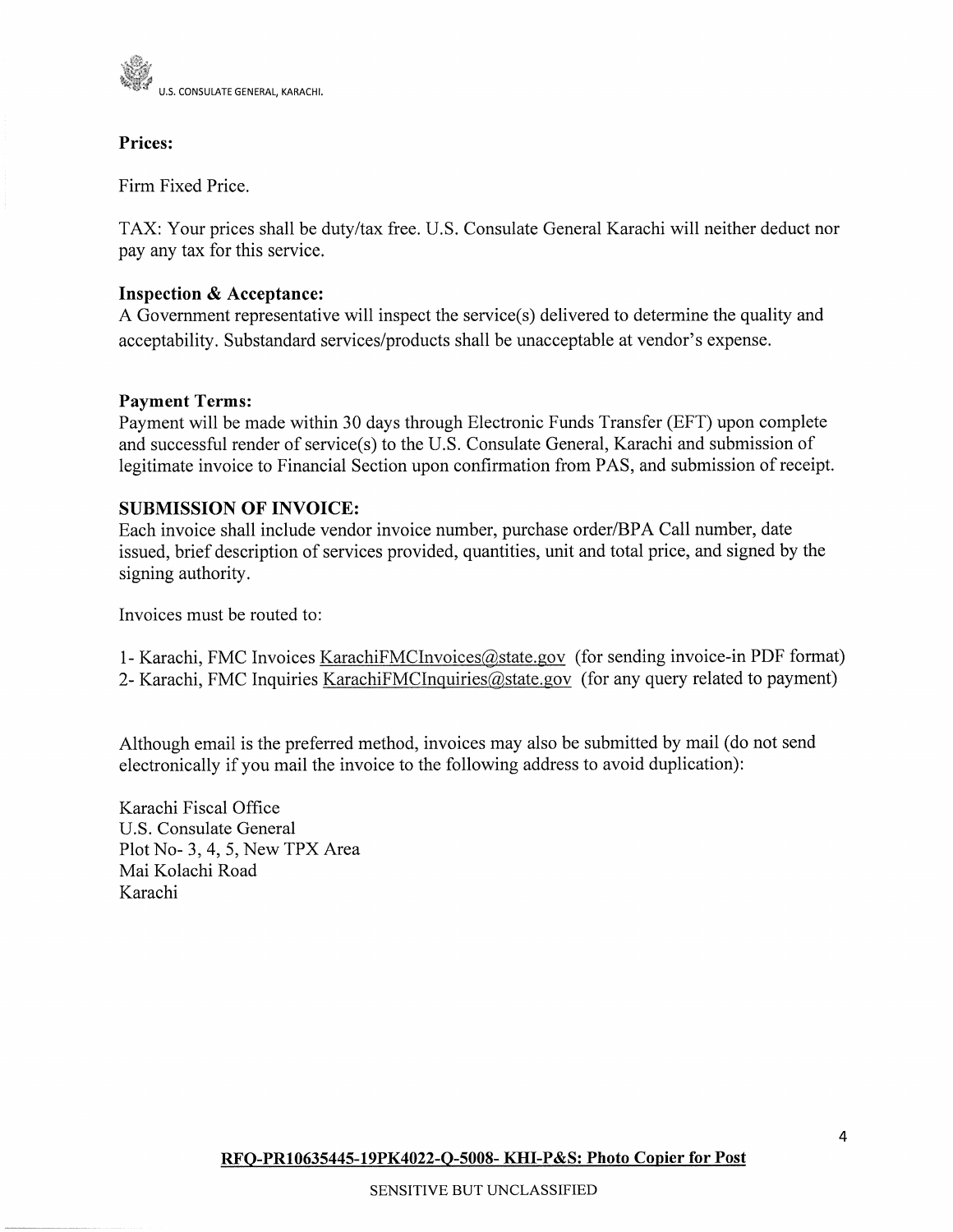

## Prices:

Firm Fixed Price.

TAX: Your prices shall be duty/tax free. U.S. Consulate General Karachi will neither deduct nor pay any tax for this service.

## **Inspection & Acceptance:**

A Government representative will inspect the service(s) delivered to determine the quality and acceptability. Substandard services/products shall be unacceptable at vendor's expense.

## **Payment Terms:**

Payment will be made within 30 days through Electronic Funds Transfer (EFT) upon complete and successful render of service(s) to the U.S. Consulate General, Karachi and submission of legitimate invoice to Financial Section upon confirmation from PAS, and submission of receipt.

## **SUBMISSION OF INVOICE:**

Each invoice shall include vendor invoice number, purchase order/BPA Call number, date issued, brief description of services provided, quantities, unit and total price, and signed by the signing authority.

Invoices must be routed to:

1- Karachi, FMC Invoices KarachiFMCInvoices@state.gov (for sending invoice-in PDF format) 2- Karachi, FMC Inquiries KarachiFMCInquiries@state.gov (for any query related to payment)

Although email is the preferred method, invoices may also be submitted by mail (do not send electronically if you mail the invoice to the following address to avoid duplication):

Karachi Fiscal Office U.S. Consulate General Plot No- 3, 4, 5, New TPX Area Mai Kolachi Road Karachi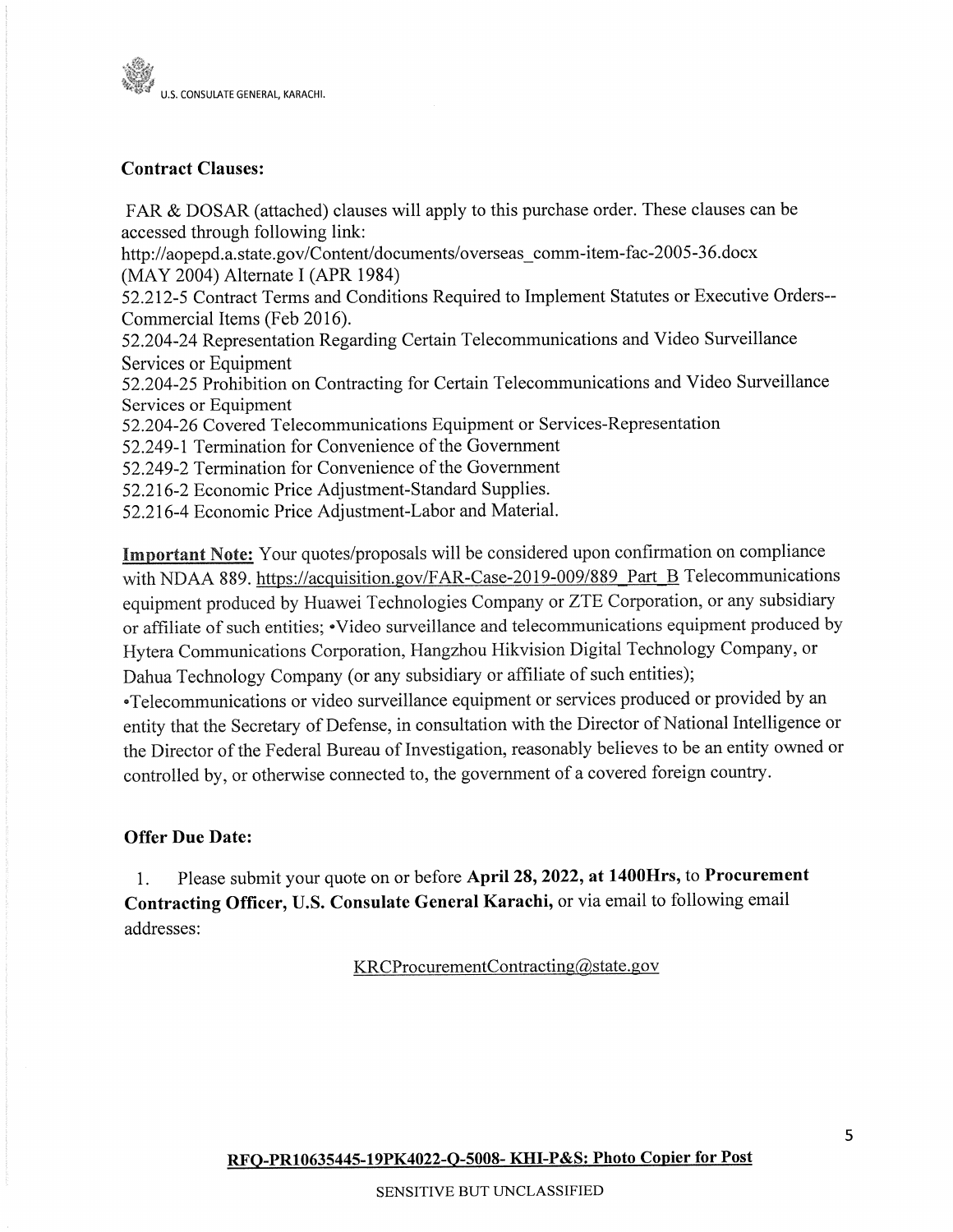

# **Contract Clauses:**

FAR & DOSAR (attached) clauses will apply to this purchase order. These clauses can be accessed through following link:

http://aopepd.a.state.gov/Content/documents/overseas comm-item-fac-2005-36.docx (MAY 2004) Alternate I (APR 1984)

52.212-5 Contract Terms and Conditions Required to Implement Statutes or Executive Orders--Commercial Items (Feb 2016).

52.204-24 Representation Regarding Certain Telecommunications and Video Surveillance Services or Equipment

52.204-25 Prohibition on Contracting for Certain Telecommunications and Video Surveillance Services or Equipment

52.204-26 Covered Telecommunications Equipment or Services-Representation

52.249-1 Termination for Convenience of the Government

52.249-2 Termination for Convenience of the Government

52.216-2 Economic Price Adjustment-Standard Supplies.

52.216-4 Economic Price Adjustment-Labor and Material.

Important Note: Your quotes/proposals will be considered upon confirmation on compliance with NDAA 889. https://acquisition.gov/FAR-Case-2019-009/889 Part B Telecommunications equipment produced by Huawei Technologies Company or ZTE Corporation, or any subsidiary or affiliate of such entities; •Video surveillance and telecommunications equipment produced by Hytera Communications Corporation, Hangzhou Hikvision Digital Technology Company, or Dahua Technology Company (or any subsidiary or affiliate of such entities);

•Telecommunications or video surveillance equipment or services produced or provided by an entity that the Secretary of Defense, in consultation with the Director of National Intelligence or the Director of the Federal Bureau of Investigation, reasonably believes to be an entity owned or controlled by, or otherwise connected to, the government of a covered foreign country.

# **Offer Due Date:**

Please submit your quote on or before April 28, 2022, at 1400Hrs, to Procurement 1. Contracting Officer, U.S. Consulate General Karachi, or via email to following email addresses:

KRCProcurementContracting@state.gov

RFO-PR10635445-19PK4022-Q-5008-KHI-P&S: Photo Copier for Post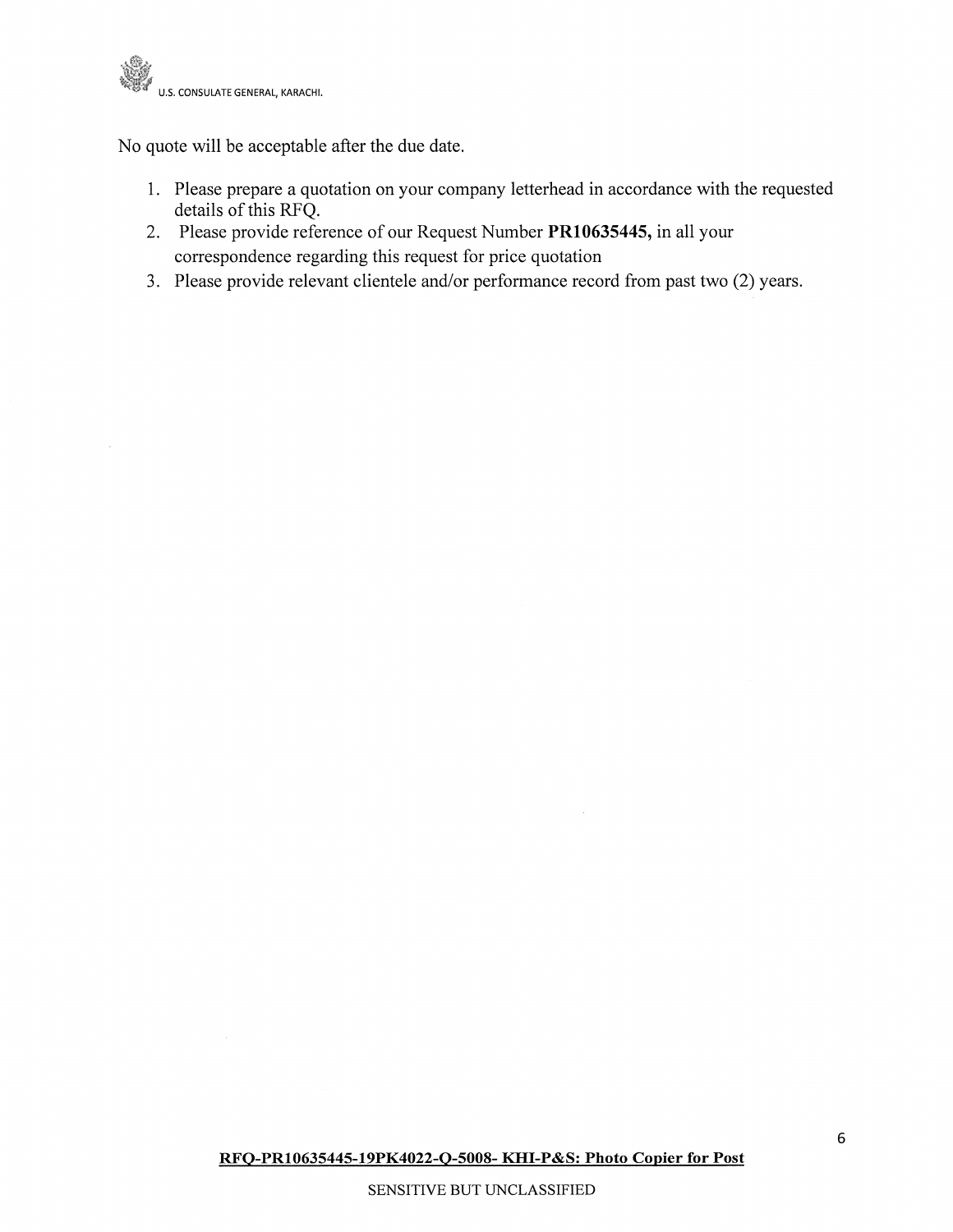

No quote will be acceptable after the due date.

- 1. Please prepare a quotation on your company letterhead in accordance with the requested details of this RFQ.
- 2. Please provide reference of our Request Number PR10635445, in all your correspondence regarding this request for price quotation
- 3. Please provide relevant clientele and/or performance record from past two (2) years.

 $\bar{z}$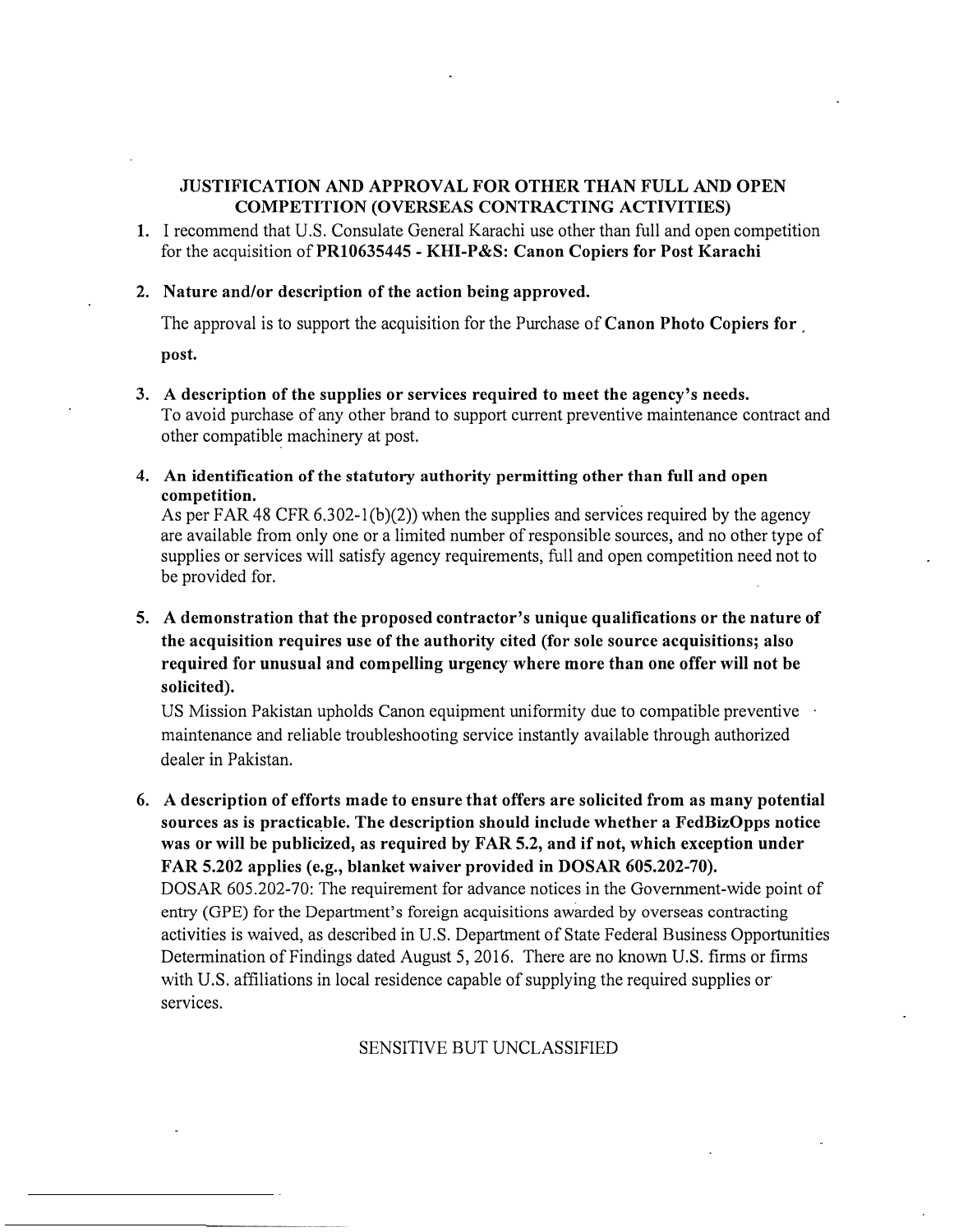### **JUSTIFICATION AND APPROVAL FOR OTHER THAN FULL AND OPEN COMPETITION (OVERSEAS CONTRACTING ACTIVITIES)**

**1.** I recommend that U.S. Consulate General Karachi use other than full and open competition for the acquisition of **PR10635445** - **KHI-P&S: Canon Copiers for Post Karachi**

#### **2. Nature and/or description of the action being approved.**

The approval is to support the acquisition for the Purchase of **Canon Photo Copiers for** 

**post.**

- **3. A description of the supplies or services required to meet the agency's needs.** To avoid purchase of any other brand to support current preventive maintenance contract and other compatible machinery at post.
- **4. An identification of the statutory authority permitting other than full and open competition.**

As per FAR 48 CFR 6.302-l(b)(2)) when the supplies and services required by the agency are available from only one or a limited number of responsible sources, and no other type of supplies or services will satisfy agency requirements, full and open competition need not to be provided for.

# **5. A demonstration that the proposed contractor's unique qualifications or the nature of the acquisition requires use ofthe authority cited (for sole source acquisitions; also required for unusual and compelling urgency where more than one offer will not be solicited).**

US Mission Pakistan upholds Canon equipment uniformity due to compatible preventive maintenance and reliable troubleshooting service instantly available through authorized dealer in Pakistan.

**6. A description of efforts made to ensure that offers are solicited from as many potential sources as is practicable. The description should include whether a FedBizOpps notice was or will be publicized, as required by FAR 5.2, and if not, which exception under FAR 5.202 applies** ( **e.g., blanket waiver provided in DOSAR 605.202-70).** DOSAR 605.202-70: The requirement for advance notices in the Government-wide point of entry (GPE) for the Department's foreign acquisitions awarded by overseas contracting activities is waived, as described in U.S. Department of State Federal Business Opportunities Determination of Findings dated August 5, 2016. There are no known U.S. firms or firms with U.S. affiliations in local residence capable of supplying the required supplies or services.

# SENSITIVE BUT UNCLASSIFIED